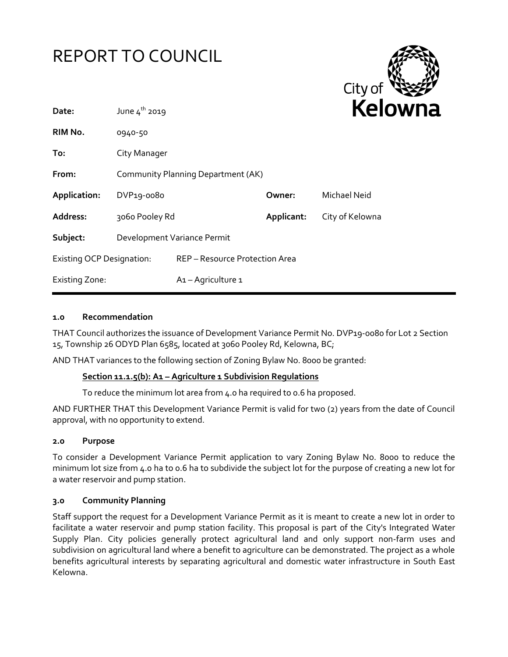# REPORT TO COUNCIL



| Date:                            | June $4^{th}$ 2019                 |                                |            | Kelo            |
|----------------------------------|------------------------------------|--------------------------------|------------|-----------------|
| RIM No.                          | 0940-50                            |                                |            |                 |
| To:                              | City Manager                       |                                |            |                 |
| From:                            | Community Planning Department (AK) |                                |            |                 |
| Application:                     | DVP19-0080                         |                                | Owner:     | Michael Neid    |
| Address:                         | 3060 Pooley Rd                     |                                | Applicant: | City of Kelowna |
| Subject:                         | Development Variance Permit        |                                |            |                 |
| <b>Existing OCP Designation:</b> |                                    | REP - Resource Protection Area |            |                 |
| <b>Existing Zone:</b>            |                                    | A <sub>1</sub> - Agriculture 1 |            |                 |

#### **1.0 Recommendation**

THAT Council authorizes the issuance of Development Variance Permit No. DVP19-0080 for Lot 2 Section 15, Township 26 ODYD Plan 6585, located at 3060 Pooley Rd, Kelowna, BC;

AND THAT variances to the following section of Zoning Bylaw No. 8000 be granted:

#### **Section 11.1.5(b): A1 – Agriculture 1 Subdivision Regulations**

To reduce the minimum lot area from 4.0 ha required to 0.6 ha proposed.

AND FURTHER THAT this Development Variance Permit is valid for two (2) years from the date of Council approval, with no opportunity to extend.

#### **2.0 Purpose**

To consider a Development Variance Permit application to vary Zoning Bylaw No. 8000 to reduce the minimum lot size from 4.0 ha to 0.6 ha to subdivide the subject lot for the purpose of creating a new lot for a water reservoir and pump station.

#### **3.0 Community Planning**

Staff support the request for a Development Variance Permit as it is meant to create a new lot in order to facilitate a water reservoir and pump station facility. This proposal is part of the City's Integrated Water Supply Plan. City policies generally protect agricultural land and only support non-farm uses and subdivision on agricultural land where a benefit to agriculture can be demonstrated. The project as a whole benefits agricultural interests by separating agricultural and domestic water infrastructure in South East Kelowna.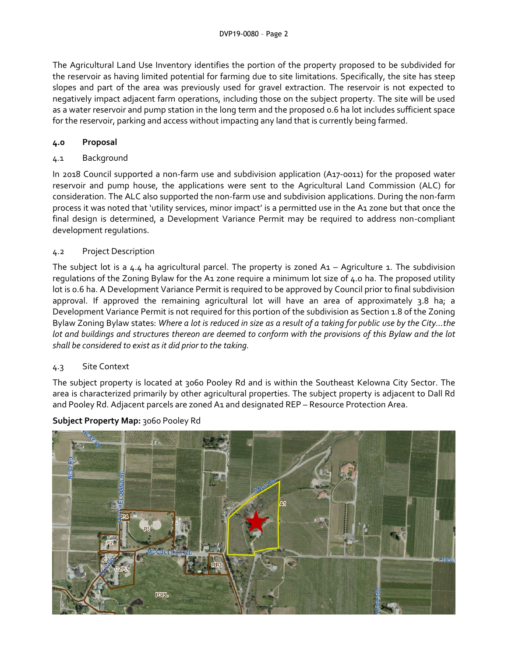The Agricultural Land Use Inventory identifies the portion of the property proposed to be subdivided for the reservoir as having limited potential for farming due to site limitations. Specifically, the site has steep slopes and part of the area was previously used for gravel extraction. The reservoir is not expected to negatively impact adjacent farm operations, including those on the subject property. The site will be used as a water reservoir and pump station in the long term and the proposed 0.6 ha lot includes sufficient space for the reservoir, parking and access without impacting any land that is currently being farmed.

# **4.0 Proposal**

# 4.1 Background

In 2018 Council supported a non-farm use and subdivision application (A17-0011) for the proposed water reservoir and pump house, the applications were sent to the Agricultural Land Commission (ALC) for consideration. The ALC also supported the non-farm use and subdivision applications. During the non-farm process it was noted that 'utility services, minor impact' is a permitted use in the A1 zone but that once the final design is determined, a Development Variance Permit may be required to address non-compliant development regulations.

### 4.2 Project Description

The subject lot is a  $4.4$  ha agricultural parcel. The property is zoned  $A_1$  – Agriculture 1. The subdivision regulations of the Zoning Bylaw for the A1 zone require a minimum lot size of 4.0 ha. The proposed utility lot is 0.6 ha. A Development Variance Permit is required to be approved by Council prior to final subdivision approval. If approved the remaining agricultural lot will have an area of approximately 3.8 ha; a Development Variance Permit is not required for this portion of the subdivision as Section 1.8 of the Zoning Bylaw Zoning Bylaw states: Where a lot is reduced in size as a result of a taking for public use by the City...the *lot and buildings and structures thereon are deemed to conform with the provisions of this Bylaw and the lot shall be considered to exist as it did prior to the taking.* 

#### 4.3 Site Context

The subject property is located at 3060 Pooley Rd and is within the Southeast Kelowna City Sector. The area is characterized primarily by other agricultural properties. The subject property is adjacent to Dall Rd and Pooley Rd. Adjacent parcels are zoned A1 and designated REP - Resource Protection Area.



# **Subject Property Map:** 3060 Pooley Rd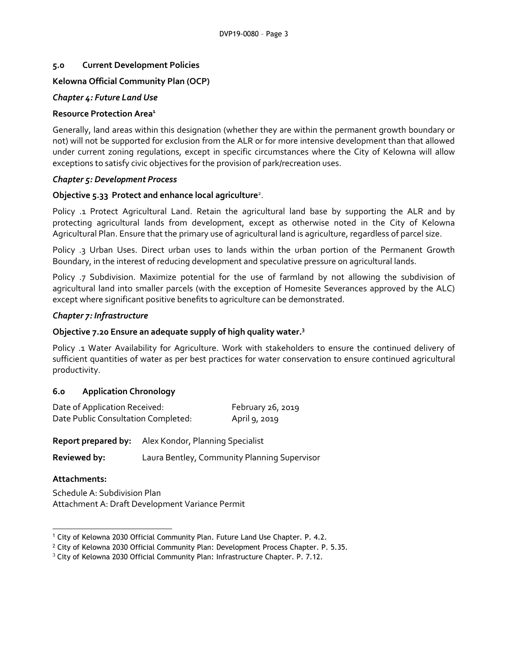#### **5.0 Current Development Policies**

#### **Kelowna Official Community Plan (OCP)**

#### *Chapter 4: Future Land Use*

#### **Resource Protection Area<sup>1</sup>**

Generally, land areas within this designation (whether they are within the permanent growth boundary or not) will not be supported for exclusion from the ALR or for more intensive development than that allowed under current zoning regulations, except in specific circumstances where the City of Kelowna will allow exceptions to satisfy civic objectives for the provision of park/recreation uses.

#### *Chapter 5: Development Process*

#### **Objective 5.33 Protect and enhance local agriculture**<sup>2</sup> .

Policy .1 Protect Agricultural Land. Retain the agricultural land base by supporting the ALR and by protecting agricultural lands from development, except as otherwise noted in the City of Kelowna Agricultural Plan. Ensure that the primary use of agricultural land is agriculture, regardless of parcel size.

Policy .3 Urban Uses. Direct urban uses to lands within the urban portion of the Permanent Growth Boundary, in the interest of reducing development and speculative pressure on agricultural lands.

Policy .7 Subdivision. Maximize potential for the use of farmland by not allowing the subdivision of agricultural land into smaller parcels (with the exception of Homesite Severances approved by the ALC) except where significant positive benefits to agriculture can be demonstrated.

#### *Chapter 7: Infrastructure*

#### **Objective 7.20 Ensure an adequate supply of high quality water.<sup>3</sup>**

Policy .1 Water Availability for Agriculture. Work with stakeholders to ensure the continued delivery of sufficient quantities of water as per best practices for water conservation to ensure continued agricultural productivity.

#### **6.0 Application Chronology**

| Date of Application Received:       | February 26, 2019 |
|-------------------------------------|-------------------|
| Date Public Consultation Completed: | April 9, 2019     |

#### **Report prepared by:** Alex Kondor, Planning Specialist

**Reviewed by:** Laura Bentley, Community Planning Supervisor

#### **Attachments:**

Schedule A: Subdivision Plan Attachment A: Draft Development Variance Permit

<sup>1</sup> <sup>1</sup> City of Kelowna 2030 Official Community Plan. Future Land Use Chapter. P. 4.2.

 $2$  City of Kelowna 2030 Official Community Plan: Development Process Chapter. P. 5.35.

 $3$  City of Kelowna 2030 Official Community Plan: Infrastructure Chapter. P. 7.12.